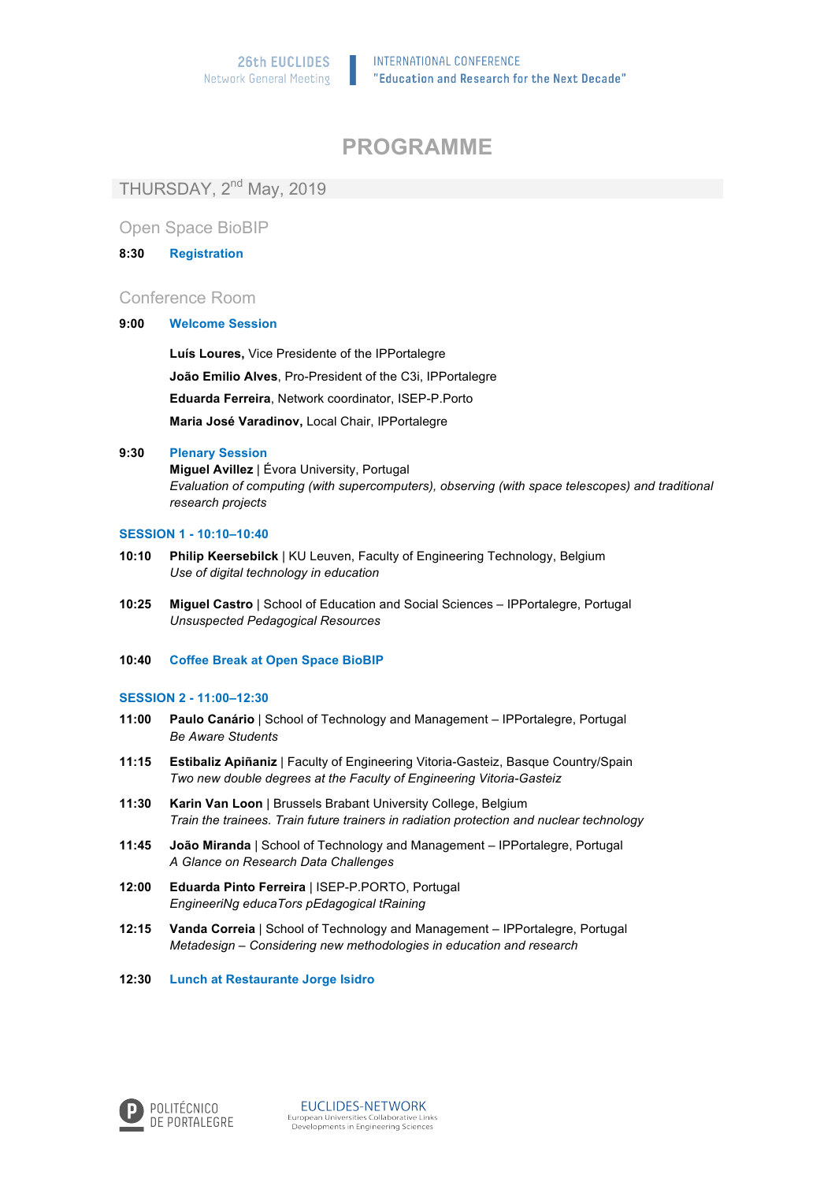# **PROGRAMME**

THURSDAY, 2<sup>nd</sup> May, 2019

Open Space BioBIP

### **8:30 Registration**

## Conference Room

### **9:00 Welcome Session**

**Luís Loures,** Vice Presidente of the IPPortalegre **João Emilio Alves**, Pro-President of the C3i, IPPortalegre **Eduarda Ferreira**, Network coordinator, ISEP-P.Porto **Maria José Varadinov,** Local Chair, IPPortalegre

#### **9:30 Plenary Session**

**Miguel Avillez** | Évora University, Portugal *Evaluation of computing (with supercomputers), observing (with space telescopes) and traditional research projects*

#### **SESSION 1 - 10:10–10:40**

- **10:10 Philip Keersebilck** | KU Leuven, Faculty of Engineering Technology, Belgium *Use of digital technology in education*
- **10:25 Miguel Castro** | School of Education and Social Sciences IPPortalegre, Portugal *Unsuspected Pedagogical Resources*
- **10:40 Coffee Break at Open Space BioBIP**

### **SESSION 2 - 11:00–12:30**

- **11:00 Paulo Canário** | School of Technology and Management IPPortalegre, Portugal *Be Aware Students*
- **11:15 Estibaliz Apiñaniz** | Faculty of Engineering Vitoria-Gasteiz, Basque Country/Spain *Two new double degrees at the Faculty of Engineering Vitoria-Gasteiz*
- **11:30 Karin Van Loon** | Brussels Brabant University College, Belgium *Train the trainees. Train future trainers in radiation protection and nuclear technology*
- **11:45 João Miranda** | School of Technology and Management IPPortalegre, Portugal *A Glance on Research Data Challenges*
- **12:00 Eduarda Pinto Ferreira** | ISEP-P.PORTO, Portugal *EngineeriNg educaTors pEdagogical tRaining*
- **12:15 Vanda Correia** | School of Technology and Management IPPortalegre, Portugal *Metadesign* – *Considering new methodologies in education and research*
- **12:30 Lunch at Restaurante Jorge Isidro**

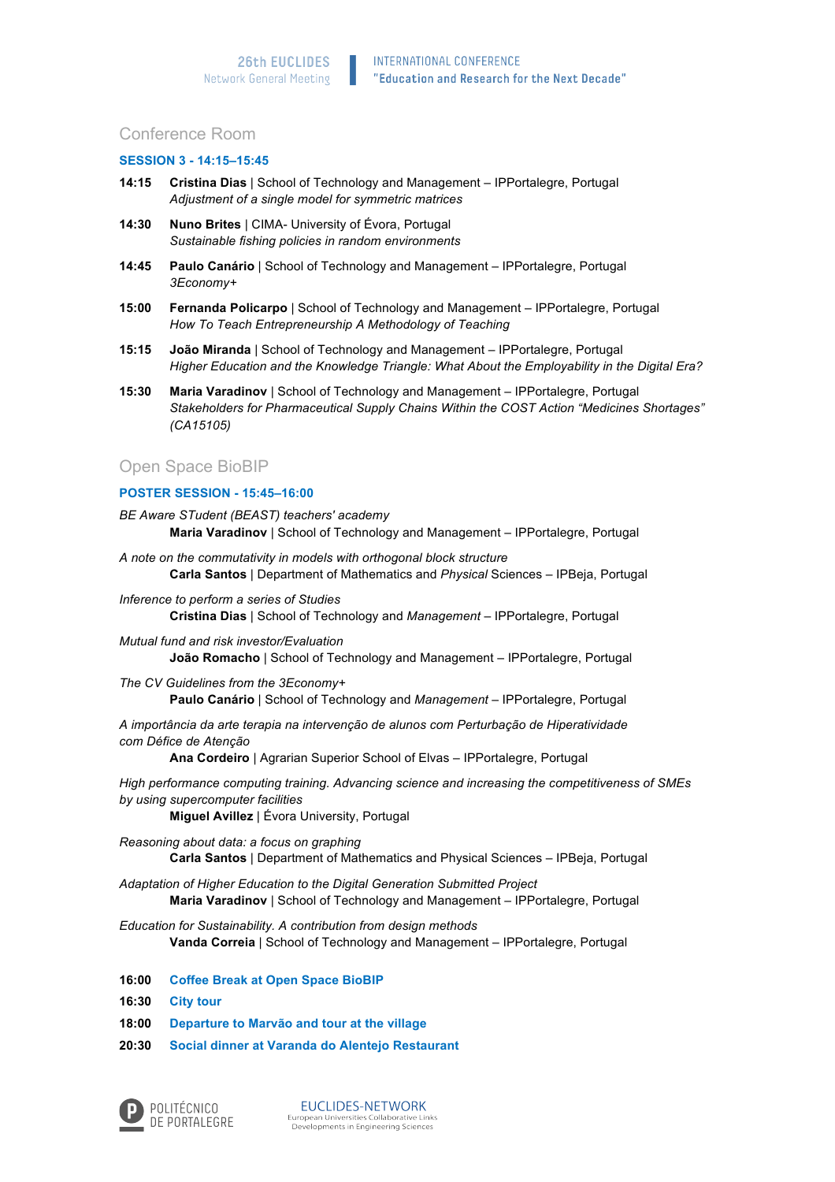## Conference Room

#### **SESSION 3 - 14:15–15:45**

- **14:15 Cristina Dias** | School of Technology and Management IPPortalegre, Portugal *Adjustment of a single model for symmetric matrices*
- **14:30 Nuno Brites** | CIMA- University of Évora, Portugal *Sustainable fishing policies in random environments*
- **14:45 Paulo Canário** | School of Technology and Management IPPortalegre, Portugal *3Economy+*
- **15:00 Fernanda Policarpo** | School of Technology and Management IPPortalegre, Portugal *How To Teach Entrepreneurship A Methodology of Teaching*
- **15:15 João Miranda** | School of Technology and Management IPPortalegre, Portugal *Higher Education and the Knowledge Triangle: What About the Employability in the Digital Era?*
- **15:30 Maria Varadinov** | School of Technology and Management IPPortalegre, Portugal *Stakeholders for Pharmaceutical Supply Chains Within the COST Action "Medicines Shortages" (CA15105)*

## Open Space BioBIP

## **POSTER SESSION - 15:45–16:00**

- *BE Aware STudent (BEAST) teachers' academy*  **Maria Varadinov** | School of Technology and Management – IPPortalegre, Portugal
- *A note on the commutativity in models with orthogonal block structure* **Carla Santos** | Department of Mathematics and *Physical* Sciences – IPBeja, Portugal
- *Inference to perform a series of Studies* **Cristina Dias** | School of Technology and *Management* – IPPortalegre, Portugal
- *Mutual fund and risk investor/Evaluation* **João Romacho** | School of Technology and Management – IPPortalegre, Portugal
- *The CV Guidelines from the 3Economy+* **Paulo Canário** | School of Technology and *Management* – IPPortalegre, Portugal

*A importância da arte terapia na intervenção de alunos com Perturbação de Hiperatividade com Défice de Atenção*

**Ana Cordeiro** | Agrarian Superior School of Elvas – IPPortalegre, Portugal

*High performance computing training. Advancing science and increasing the competitiveness of SMEs by using supercomputer facilities*

**Miguel Avillez** | Évora University, Portugal

*Reasoning about data: a focus on graphing* **Carla Santos** | Department of Mathematics and Physical Sciences – IPBeja, Portugal

*Adaptation of Higher Education to the Digital Generation Submitted Project* **Maria Varadinov** | School of Technology and Management – IPPortalegre, Portugal

*Education for Sustainability. A contribution from design methods* **Vanda Correia** | School of Technology and Management – IPPortalegre, Portugal

- **16:00 Coffee Break at Open Space BioBIP**
- **16:30 City tour**
- **18:00 Departure to Marvão and tour at the village**
- **20:30 Social dinner at Varanda do Alentejo Restaurant**



**EUCLIDES-NETWORK**